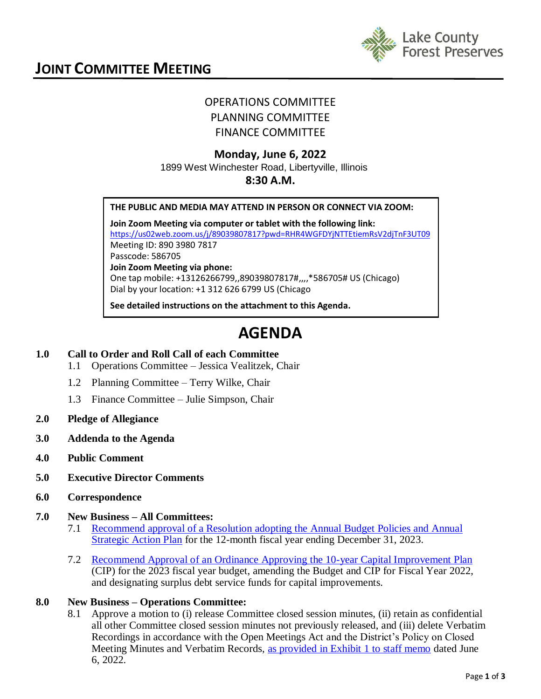

# OPERATIONS COMMITTEE PLANNING COMMITTEE FINANCE COMMITTEE

# **Monday, June 6, 2022**

#### 1899 West Winchester Road, Libertyville, Illinois **8:30 A.M.**

#### **THE PUBLIC AND MEDIA MAY ATTEND IN PERSON OR CONNECT VIA ZOOM:**

**Join Zoom Meeting via computer or tablet with the following link:** <https://us02web.zoom.us/j/89039807817?pwd=RHR4WGFDYjNTTEtiemRsV2djTnF3UT09> Meeting ID: 890 3980 7817 Passcode: 586705 **Join Zoom Meeting via phone:** One tap mobile: +13126266799,,89039807817#,,,,\*586705# US (Chicago) Dial by your location: +1 312 626 6799 US (Chicago

**See detailed instructions on the attachment to this Agenda.**

# **AGENDA**

# **1.0 Call to Order and Roll Call of each Committee**

- 1.1 Operations Committee Jessica Vealitzek, Chair
- 1.2 Planning Committee Terry Wilke, Chair
- 1.3 Finance Committee Julie Simpson, Chair
- **2.0 Pledge of Allegiance**
- **3.0 Addenda to the Agenda**
- **4.0 Public Comment**
- **5.0 Executive Director Comments**
- **6.0 Correspondence**
- **7.0 New Business – All Committees:**
	- 7.1 [Recommend approval of a Resolution adopting the Annual Budget Policies and Annual](http://www.lcfpd.org/assets/1/28/Resolution_Approving_Budget_Policies_FINAL.pdf)  [Strategic Action Plan](http://www.lcfpd.org/assets/1/28/Resolution_Approving_Budget_Policies_FINAL.pdf) for the 12-month fiscal year ending December 31, 2023.
	- 7.2 Recommend Approval of [an Ordinance Approving the 10-year Capital Improvement Plan](http://www.lcfpd.org/assets/1/28/JOINT_ITEM_Ordinance_Approving_CIP_and_Amending_Budget.pdf) (CIP) for the 2023 fiscal year budget, amending the Budget and CIP for Fiscal Year 2022, and designating surplus debt service funds for capital improvements.

# **8.0 New Business – Operations Committee:**

8.1 Approve a motion to (i) release Committee closed session minutes, (ii) retain as confidential all other Committee closed session minutes not previously released, and (iii) delete Verbatim Recordings in accordance with the Open Meetings Act and the District's Policy on Closed Meeting Minutes and Verbatim Records, [as provided in Exhibit 1 to staff memo](http://www.lcfpd.org/assets/1/28/OPERATIONS_RELEASE_CLOSED_SESSION_MINUTES___DELETE_VERBATIM_RECORDINGS1.pdf) dated June 6, 2022.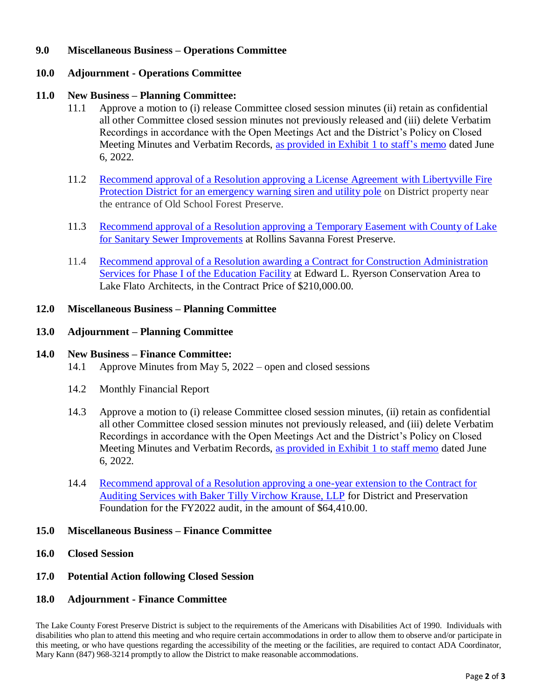# **9.0 Miscellaneous Business – Operations Committee**

# **10.0 Adjournment - Operations Committee**

## **11.0 New Business – Planning Committee:**

- 11.1 Approve a motion to (i) release Committee closed session minutes (ii) retain as confidential all other Committee closed session minutes not previously released and (iii) delete Verbatim Recordings in accordance with the Open Meetings Act and the District's Policy on Closed Meeting Minutes and Verbatim Records, [as provided in Exhibit 1 to staff's](http://www.lcfpd.org/assets/1/28/Motion_to_release_minutes_and_delete_recordings1.pdf) memo dated June 6, 2022.
- 11.2 Recommend approval of a Resolution approving a License Agreement with Libertyville Fire Protection District [for an emergency warning siren and utility pole](http://www.lcfpd.org/assets/1/28/FINAL_LibertyvilleFireProtectionDistrictAgreement3.pdf) on District property near the entrance of Old School Forest Preserve.
- 11.3 [Recommend approval of a Resolution approving a Temporary Easement with County of Lake](http://www.lcfpd.org/assets/1/28/Temp_Easement_with_Lake_County_at_Rollins_Savanna.pdf)  for [Sanitary Sewer Improvements](http://www.lcfpd.org/assets/1/28/Temp_Easement_with_Lake_County_at_Rollins_Savanna.pdf) at Rollins Savanna Forest Preserve.
- 11.4 [Recommend approval of a Resolution awarding a Contract for Construction Administration](http://www.lcfpd.org/assets/1/28/Resolution_awarding_Contract_to_Lake_Flato_Architects_FINAL.pdf)  [Services for Phase I of the Education Facility](http://www.lcfpd.org/assets/1/28/Resolution_awarding_Contract_to_Lake_Flato_Architects_FINAL.pdf) at Edward L. Ryerson Conservation Area to Lake Flato Architects, in the Contract Price of \$210,000.00.

#### **12.0 Miscellaneous Business – Planning Committee**

#### **13.0 Adjournment – Planning Committee**

### **14.0 New Business – Finance Committee:**

- 14.1 Approve Minutes from May 5, 2022 open and closed sessions
- 14.2 Monthly Financial Report
- 14.3 Approve a motion to (i) release Committee closed session minutes, (ii) retain as confidential all other Committee closed session minutes not previously released, and (iii) delete Verbatim Recordings in accordance with the Open Meetings Act and the District's Policy on Closed Meeting Minutes and Verbatim Records, [as provided in Exhibit 1 to staff memo](http://www.lcfpd.org/assets/1/28/6-6-22_Finance_Comm-motion_for_closed_session_minutes.pdf) dated June 6, 2022.
- 14.4 [Recommend approval of a Resolution approving a one-year extension to the Contract for](http://www.lcfpd.org/assets/1/28/Resolution_Approving_Auditing_Contract_Extension_FINAL.pdf)  [Auditing Services with Baker Tilly Virchow Krause, LLP](http://www.lcfpd.org/assets/1/28/Resolution_Approving_Auditing_Contract_Extension_FINAL.pdf) for District and Preservation Foundation for the FY2022 audit, in the amount of \$64,410.00.

#### **15.0 Miscellaneous Business – Finance Committee**

- **16.0 Closed Session**
- **17.0 Potential Action following Closed Session**

# **18.0 Adjournment - Finance Committee**

The Lake County Forest Preserve District is subject to the requirements of the Americans with Disabilities Act of 1990. Individuals with disabilities who plan to attend this meeting and who require certain accommodations in order to allow them to observe and/or participate in this meeting, or who have questions regarding the accessibility of the meeting or the facilities, are required to contact ADA Coordinator, Mary Kann (847) 968-3214 promptly to allow the District to make reasonable accommodations.